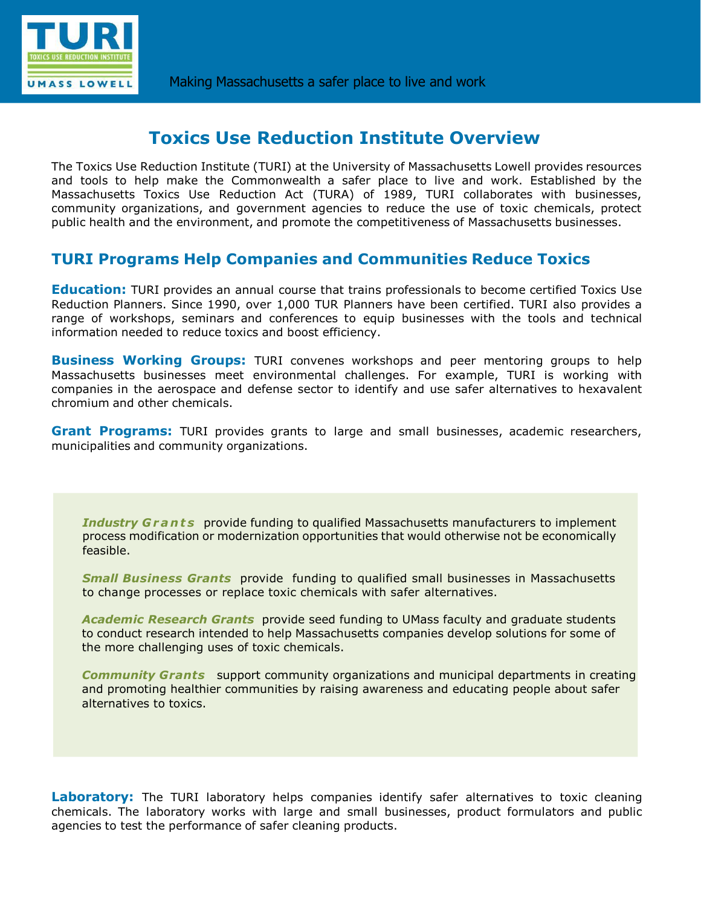

# **Toxics Use Reduction Institute Overview**

The Toxics Use Reduction Institute (TURI) at the University of Massachusetts Lowell provides resources and tools to help make the Commonwealth a safer place to live and work. Established by the Massachusetts Toxics Use Reduction Act (TURA) of 1989, TURI collaborates with businesses, community organizations, and government agencies to reduce the use of toxic chemicals, protect public health and the environment, and promote the competitiveness of Massachusetts businesses.

#### **TURI Programs Help Companies and Communities Reduce Toxics**

**Education:** TURI provides an annual course that trains professionals to become certified Toxics Use Reduction Planners. Since 1990, over 1,000 TUR Planners have been certified. TURI also provides a range of workshops, seminars and conferences to equip businesses with the tools and technical information needed to reduce toxics and boost efficiency.

**Business Working Groups:** TURI convenes workshops and peer mentoring groups to help Massachusetts businesses meet environmental challenges. For example, TURI is working with companies in the aerospace and defense sector to identify and use safer alternatives to hexavalent chromium and other chemicals.

**Grant Programs:** TURI provides grants to large and small businesses, academic researchers, municipalities and community organizations.

**Industry G r a n t s** provide funding to qualified Massachusetts manufacturers to implement process modification or modernization opportunities that would otherwise not be economically feasible.

*Small Business Grants* provide funding to qualified small businesses in Massachusetts to change processes or replace toxic chemicals with safer alternatives.

*Academic Research Grants* provide seed funding to UMass faculty and graduate students to conduct research intended to help Massachusetts companies develop solutions for some of the more challenging uses of toxic chemicals.

*Community Grants* support community organizations and municipal departments in creating and promoting healthier communities by raising awareness and educating people about safer alternatives to toxics.

**Laboratory:** The TURI laboratory helps companies identify safer alternatives to toxic cleaning chemicals. The laboratory works with large and small businesses, product formulators and public agencies to test the performance of safer cleaning products.